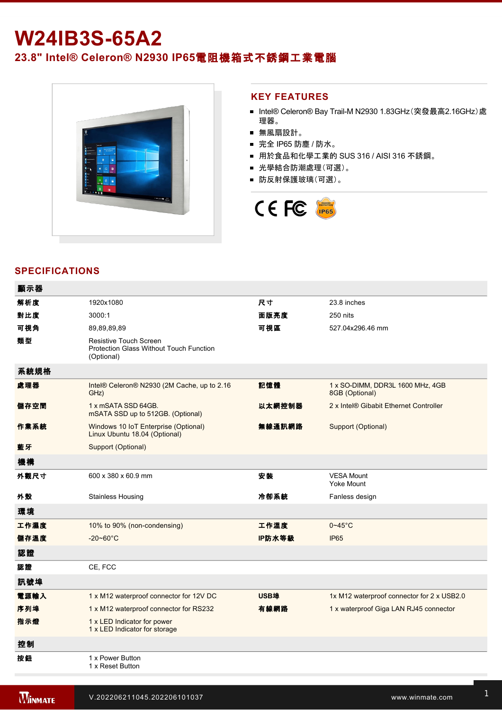# **W24IB3S-65A2**

**23.8" Intel® Celeron® N2930 IP65**電阻機箱式不銹鋼工業電腦



### **KEY FEATURES**

- Intel® Celeron® Bay Trail-M N2930 1.83GHz(突發最高2.16GHz)處 理器。
- 無風扇設計。
- 完全 IP65 防塵 / 防水。
- 用於食品和化學工業的 SUS 316 / AISI 316 不銹鋼。
- 光學結合防潮處理(可選)。
- 防反射保護玻璃(可選)。



## **SPECIFICATIONS**

 $\overline{a}$  and  $\overline{a}$ 

| 觀示益  |                                                                                        |             |                                                    |
|------|----------------------------------------------------------------------------------------|-------------|----------------------------------------------------|
| 解析度  | 1920x1080                                                                              | 尺寸          | 23.8 inches                                        |
| 對比度  | 3000:1                                                                                 | 面版亮度        | 250 nits                                           |
| 可視角  | 89,89,89,89                                                                            | 可視區         | 527.04x296.46 mm                                   |
| 類型   | <b>Resistive Touch Screen</b><br>Protection Glass Without Touch Function<br>(Optional) |             |                                                    |
| 系統規格 |                                                                                        |             |                                                    |
| 處理器  | Intel® Celeron® N2930 (2M Cache, up to 2.16<br>GHz)                                    | 記憶體         | 1 x SO-DIMM, DDR3L 1600 MHz, 4GB<br>8GB (Optional) |
| 儲存空間 | 1 x mSATA SSD 64GB.<br>mSATA SSD up to 512GB. (Optional)                               | 以太網控制器      | 2 x Intel® Gibabit Ethernet Controller             |
| 作業系統 | Windows 10 IoT Enterprise (Optional)<br>Linux Ubuntu 18.04 (Optional)                  | 無線通訊網路      | Support (Optional)                                 |
| 藍牙   | Support (Optional)                                                                     |             |                                                    |
| 機構   |                                                                                        |             |                                                    |
| 外觀尺寸 | 600 x 380 x 60.9 mm                                                                    | 安装          | <b>VESA Mount</b><br>Yoke Mount                    |
| 外殼   | <b>Stainless Housing</b>                                                               | 冷卻系統        | Fanless design                                     |
| 環境   |                                                                                        |             |                                                    |
| 工作濕度 | 10% to 90% (non-condensing)                                                            | 工作溫度        | $0 - 45$ °C                                        |
| 儲存溫度 | $-20 - 60^{\circ}C$                                                                    | IP防水等級      | <b>IP65</b>                                        |
| 認證   |                                                                                        |             |                                                    |
| 認證   | CE, FCC                                                                                |             |                                                    |
| 訊號埠  |                                                                                        |             |                                                    |
| 電源輸入 | 1 x M12 waterproof connector for 12V DC                                                | <b>USB埠</b> | 1x M12 waterproof connector for 2 x USB2.0         |
| 序列埠  | 1 x M12 waterproof connector for RS232                                                 | 有線網路        | 1 x waterproof Giga LAN RJ45 connector             |
| 指示燈  | 1 x LED Indicator for power<br>1 x LED Indicator for storage                           |             |                                                    |
| 控制   |                                                                                        |             |                                                    |
| 按鈕   | 1 x Power Button<br>1 x Reset Button                                                   |             |                                                    |

Power Cord